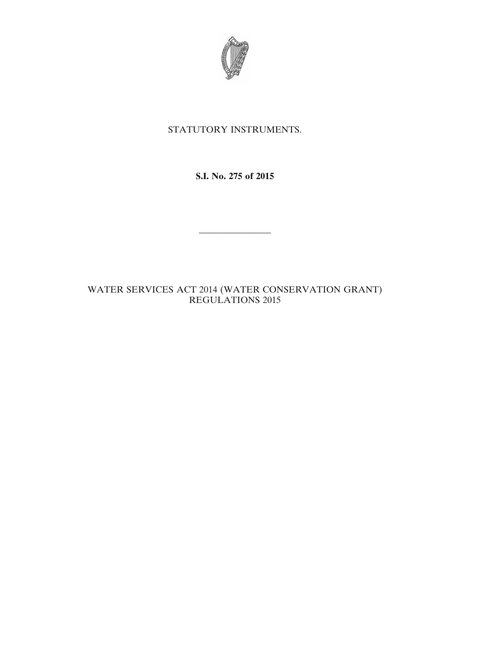

# STATUTORY INSTRUMENTS.

**S.I. No. 275 of 2015**

————————

# WATER SERVICES ACT 2014 (WATER CONSERVATION GRANT) REGULATIONS 2015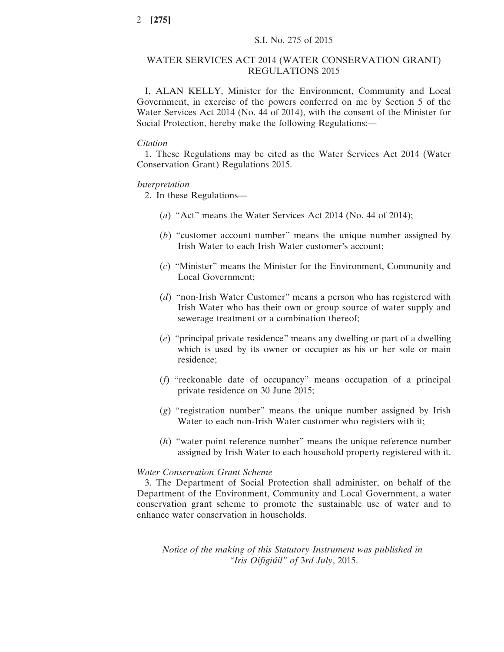#### WATER SERVICES ACT 2014 (WATER CONSERVATION GRANT) REGULATIONS 2015

I, ALAN KELLY, Minister for the Environment, Community and Local Government, in exercise of the powers conferred on me by Section 5 of the Water Services Act 2014 (No. 44 of 2014), with the consent of the Minister for Social Protection, hereby make the following Regulations:—

#### *Citation*

1. These Regulations may be cited as the Water Services Act 2014 (Water Conservation Grant) Regulations 2015.

#### *Interpretation*

2. In these Regulations—

- (*a*) "Act" means the Water Services Act 2014 (No. 44 of 2014);
- (*b*) "customer account number" means the unique number assigned by Irish Water to each Irish Water customer's account;
- (*c*) "Minister" means the Minister for the Environment, Community and Local Government;
- (*d*) "non-Irish Water Customer" means a person who has registered with Irish Water who has their own or group source of water supply and sewerage treatment or a combination thereof;
- (*e*) "principal private residence" means any dwelling or part of a dwelling which is used by its owner or occupier as his or her sole or main residence;
- (*f*) "reckonable date of occupancy" means occupation of a principal private residence on 30 June 2015;
- (*g*) "registration number" means the unique number assigned by Irish Water to each non-Irish Water customer who registers with it;
- (*h*) "water point reference number" means the unique reference number assigned by Irish Water to each household property registered with it.

## *Water Conservation Grant Scheme*

3. The Department of Social Protection shall administer, on behalf of the Department of the Environment, Community and Local Government, a water conservation grant scheme to promote the sustainable use of water and to enhance water conservation in households.

*Notice of the making of this Statutory Instrument was published in "Iris Oifigiúil" of* 3*rd July*, 2015.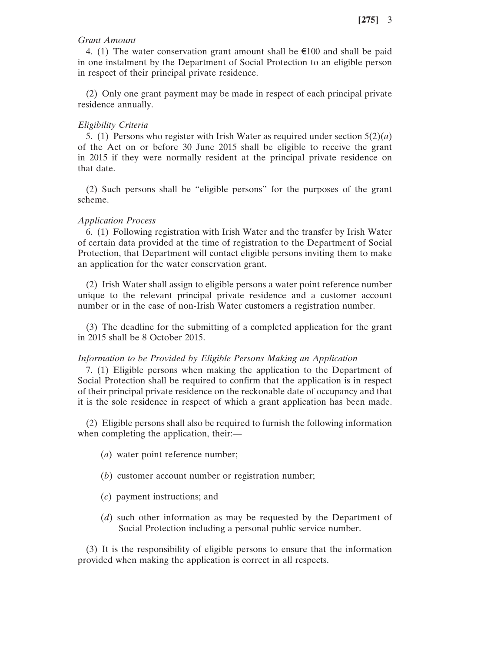## *Grant Amount*

4. (1) The water conservation grant amount shall be  $\epsilon$ 100 and shall be paid in one instalment by the Department of Social Protection to an eligible person in respect of their principal private residence.

(2) Only one grant payment may be made in respect of each principal private residence annually.

### *Eligibility Criteria*

5. (1) Persons who register with Irish Water as required under section 5(2)(*a*) of the Act on or before 30 June 2015 shall be eligible to receive the grant in 2015 if they were normally resident at the principal private residence on that date.

(2) Such persons shall be "eligible persons" for the purposes of the grant scheme.

#### *Application Process*

6. (1) Following registration with Irish Water and the transfer by Irish Water of certain data provided at the time of registration to the Department of Social Protection, that Department will contact eligible persons inviting them to make an application for the water conservation grant.

(2) Irish Water shall assign to eligible persons a water point reference number unique to the relevant principal private residence and a customer account number or in the case of non-Irish Water customers a registration number.

(3) The deadline for the submitting of a completed application for the grant in 2015 shall be 8 October 2015.

#### *Information to be Provided by Eligible Persons Making an Application*

7. (1) Eligible persons when making the application to the Department of Social Protection shall be required to confirm that the application is in respect of their principal private residence on the reckonable date of occupancy and that it is the sole residence in respect of which a grant application has been made.

(2) Eligible persons shall also be required to furnish the following information when completing the application, their:—

- (*a*) water point reference number;
- (*b*) customer account number or registration number;
- (*c*) payment instructions; and
- (*d*) such other information as may be requested by the Department of Social Protection including a personal public service number.

(3) It is the responsibility of eligible persons to ensure that the information provided when making the application is correct in all respects.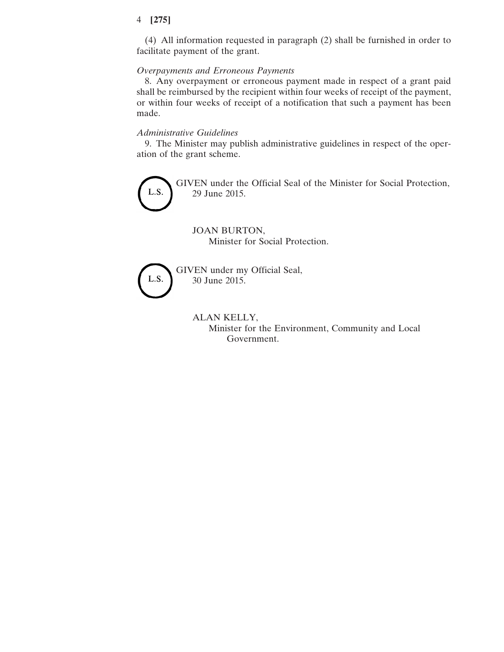## 4 **[275]**

(4) All information requested in paragraph (2) shall be furnished in order to facilitate payment of the grant.

# *Overpayments and Erroneous Payments*

8. Any overpayment or erroneous payment made in respect of a grant paid shall be reimbursed by the recipient within four weeks of receipt of the payment, or within four weeks of receipt of a notification that such a payment has been made.

#### *Administrative Guidelines*

9. The Minister may publish administrative guidelines in respect of the operation of the grant scheme.



Minister for the Environment, Community and Local Government.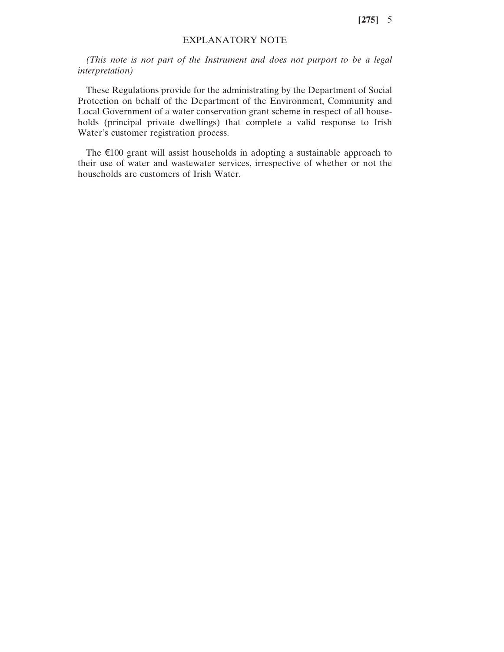**[275]** 5

## EXPLANATORY NOTE

*(This note is not part of the Instrument and does not purport to be a legal interpretation)*

These Regulations provide for the administrating by the Department of Social Protection on behalf of the Department of the Environment, Community and Local Government of a water conservation grant scheme in respect of all households (principal private dwellings) that complete a valid response to Irish Water's customer registration process.

The €100 grant will assist households in adopting a sustainable approach to their use of water and wastewater services, irrespective of whether or not the households are customers of Irish Water.